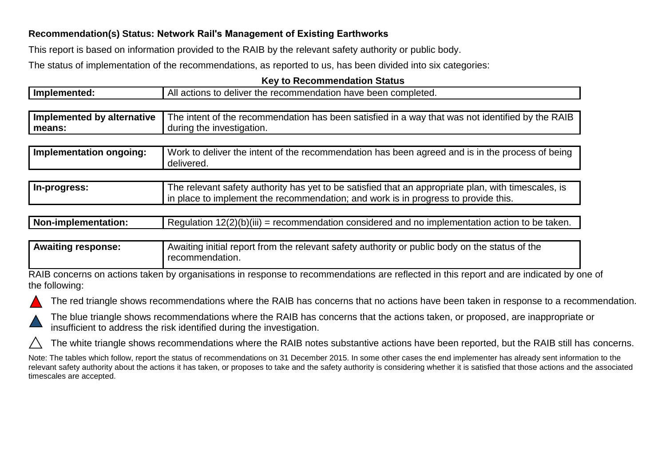## **Recommendation(s) Status: Network Rail's Management of Existing Earthworks**

This report is based on information provided to the RAIB by the relevant safety authority or public body.

The status of implementation of the recommendations, as reported to us, has been divided into six categories:

## **Key to Recommendation Status**

| Implemented:               | All actions to deliver the recommendation have been completed.                                                                                                                            |  |
|----------------------------|-------------------------------------------------------------------------------------------------------------------------------------------------------------------------------------------|--|
|                            |                                                                                                                                                                                           |  |
| Implemented by alternative | The intent of the recommendation has been satisfied in a way that was not identified by the RAIB                                                                                          |  |
| means:                     | during the investigation.                                                                                                                                                                 |  |
|                            |                                                                                                                                                                                           |  |
| Implementation ongoing:    | Work to deliver the intent of the recommendation has been agreed and is in the process of being<br>delivered.                                                                             |  |
|                            |                                                                                                                                                                                           |  |
| In-progress:               | The relevant safety authority has yet to be satisfied that an appropriate plan, with timescales, is<br>in place to implement the recommendation; and work is in progress to provide this. |  |

| Non-implementation: | $12(2)(b)(iii) =$<br>= recommendation considered and no implementation action to be taken.<br>Requiation |
|---------------------|----------------------------------------------------------------------------------------------------------|
|                     |                                                                                                          |

## **Awaiting response:** Awaiting initial report from the relevant safety authority or public body on the status of the recommendation.

RAIB concerns on actions taken by organisations in response to recommendations are reflected in this report and are indicated by one of the following:





The blue triangle shows recommendations where the RAIB has concerns that the actions taken, or proposed, are inappropriate or insufficient to address the risk identified during the investigation.

The white triangle shows recommendations where the RAIB notes substantive actions have been reported, but the RAIB still has concerns.

Note: The tables which follow, report the status of recommendations on 31 December 2015. In some other cases the end implementer has already sent information to the relevant safety authority about the actions it has taken, or proposes to take and the safety authority is considering whether it is satisfied that those actions and the associated timescales are accepted.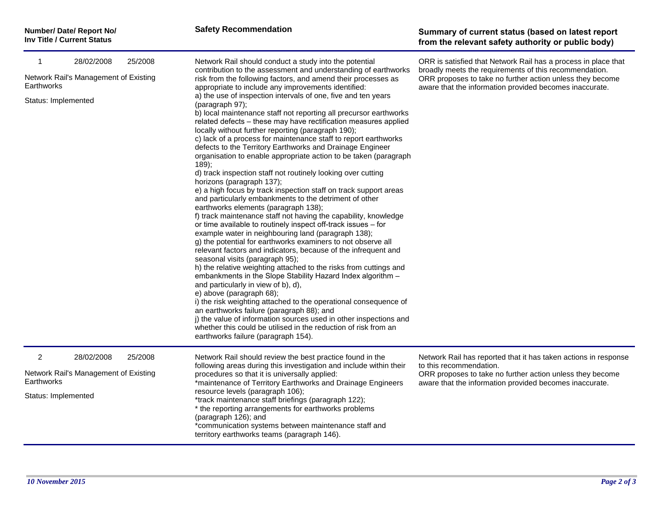| Number/ Date/ Report No/          |
|-----------------------------------|
| <b>Inv Title / Current Status</b> |

| 28/02/2008<br>25/2008<br>-1<br>Network Rail's Management of Existing<br>Earthworks<br>Status: Implemented |                                                     |         | Network Rail should conduct a study into the potential<br>contribution to the assessment and understanding of earthworks<br>risk from the following factors, and amend their processes as<br>appropriate to include any improvements identified:<br>a) the use of inspection intervals of one, five and ten years<br>(paragraph 97);<br>b) local maintenance staff not reporting all precursor earthworks<br>related defects - these may have rectification measures applied<br>locally without further reporting (paragraph 190);<br>c) lack of a process for maintenance staff to report earthworks<br>defects to the Territory Earthworks and Drainage Engineer<br>organisation to enable appropriate action to be taken (paragraph<br>$189$ :<br>d) track inspection staff not routinely looking over cutting<br>horizons (paragraph 137);                                                                                                                                                                                            | ORR is satisfied that Network Rail has a process in place that<br>broadly meets the requirements of this recommendation.<br>ORR proposes to take no further action unless they become<br>aware that the information provided becomes inaccurate. |
|-----------------------------------------------------------------------------------------------------------|-----------------------------------------------------|---------|-------------------------------------------------------------------------------------------------------------------------------------------------------------------------------------------------------------------------------------------------------------------------------------------------------------------------------------------------------------------------------------------------------------------------------------------------------------------------------------------------------------------------------------------------------------------------------------------------------------------------------------------------------------------------------------------------------------------------------------------------------------------------------------------------------------------------------------------------------------------------------------------------------------------------------------------------------------------------------------------------------------------------------------------|--------------------------------------------------------------------------------------------------------------------------------------------------------------------------------------------------------------------------------------------------|
|                                                                                                           |                                                     |         | e) a high focus by track inspection staff on track support areas<br>and particularly embankments to the detriment of other<br>earthworks elements (paragraph 138);<br>f) track maintenance staff not having the capability, knowledge<br>or time available to routinely inspect off-track issues - for<br>example water in neighbouring land (paragraph 138);<br>g) the potential for earthworks examiners to not observe all<br>relevant factors and indicators, because of the infrequent and<br>seasonal visits (paragraph 95);<br>h) the relative weighting attached to the risks from cuttings and<br>embankments in the Slope Stability Hazard Index algorithm -<br>and particularly in view of b), d),<br>e) above (paragraph 68);<br>i) the risk weighting attached to the operational consequence of<br>an earthworks failure (paragraph 88); and<br>j) the value of information sources used in other inspections and<br>whether this could be utilised in the reduction of risk from an<br>earthworks failure (paragraph 154). |                                                                                                                                                                                                                                                  |
| $\overline{2}$<br>Earthworks<br>Status: Implemented                                                       | 28/02/2008<br>Network Rail's Management of Existing | 25/2008 | Network Rail should review the best practice found in the<br>following areas during this investigation and include within their<br>procedures so that it is universally applied:<br>*maintenance of Territory Earthworks and Drainage Engineers<br>resource levels (paragraph 106);<br>*track maintenance staff briefings (paragraph 122);<br>* the reporting arrangements for earthworks problems<br>(paragraph 126); and<br>*communication systems between maintenance staff and<br>territory earthworks teams (paragraph 146).                                                                                                                                                                                                                                                                                                                                                                                                                                                                                                         | Network Rail has reported that it has taken actions in response<br>to this recommendation.<br>ORR proposes to take no further action unless they become<br>aware that the information provided becomes inaccurate.                               |